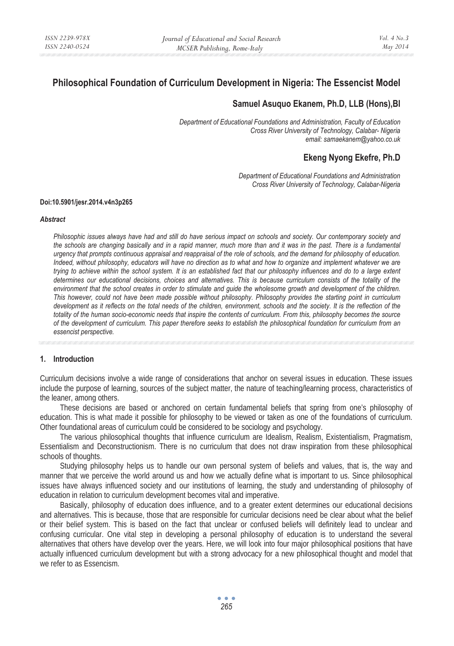# **Philosophical Foundation of Curriculum Development in Nigeria: The Essencist Model**

# **Samuel Asuquo Ekanem, Ph.D, LLB (Hons),Bl**

*Department of Educational Foundations and Administration, Faculty of Education Cross River University of Technology, Calabar- Nigeria email: samaekanem@yahoo.co.uk* 

# **Ekeng Nyong Ekefre, Ph.D**

*Department of Educational Foundations and Administration Cross River University of Technology, Calabar-Nigeria* 

#### **Doi:10.5901/jesr.2014.v4n3p265**

#### *Abstract*

*Philosophic issues always have had and still do have serious impact on schools and society. Our contemporary society and the schools are changing basically and in a rapid manner, much more than and it was in the past. There is a fundamental urgency that prompts continuous appraisal and reappraisal of the role of schools, and the demand for philosophy of education. Indeed, without philosophy, educators will have no direction as to what and how to organize and implement whatever we are trying to achieve within the school system. It is an established fact that our philosophy influences and do to a large extent determines our educational decisions, choices and alternatives. This is because curriculum consists of the totality of the environment that the school creates in order to stimulate and guide the wholesome growth and development of the children. This however, could not have been made possible without philosophy. Philosophy provides the starting point in curriculum development as it reflects on the total needs of the children, environment, schools and the society. It is the reflection of the totality of the human socio-economic needs that inspire the contents of curriculum. From this, philosophy becomes the source of the development of curriculum. This paper therefore seeks to establish the philosophical foundation for curriculum from an essencist perspective.* 

# **1. Introduction**

Curriculum decisions involve a wide range of considerations that anchor on several issues in education. These issues include the purpose of learning, sources of the subject matter, the nature of teaching/learning process, characteristics of the leaner, among others.

These decisions are based or anchored on certain fundamental beliefs that spring from one's philosophy of education. This is what made it possible for philosophy to be viewed or taken as one of the foundations of curriculum. Other foundational areas of curriculum could be considered to be sociology and psychology.

The various philosophical thoughts that influence curriculum are Idealism, Realism, Existentialism, Pragmatism, Essentialism and Deconstructionism. There is no curriculum that does not draw inspiration from these philosophical schools of thoughts.

Studying philosophy helps us to handle our own personal system of beliefs and values, that is, the way and manner that we perceive the world around us and how we actually define what is important to us. Since philosophical issues have always influenced society and our institutions of learning, the study and understanding of philosophy of education in relation to curriculum development becomes vital and imperative.

Basically, philosophy of education does influence, and to a greater extent determines our educational decisions and alternatives. This is because, those that are responsible for curricular decisions need be clear about what the belief or their belief system. This is based on the fact that unclear or confused beliefs will definitely lead to unclear and confusing curricular. One vital step in developing a personal philosophy of education is to understand the several alternatives that others have develop over the years. Here, we will look into four major philosophical positions that have actually influenced curriculum development but with a strong advocacy for a new philosophical thought and model that we refer to as Essencism.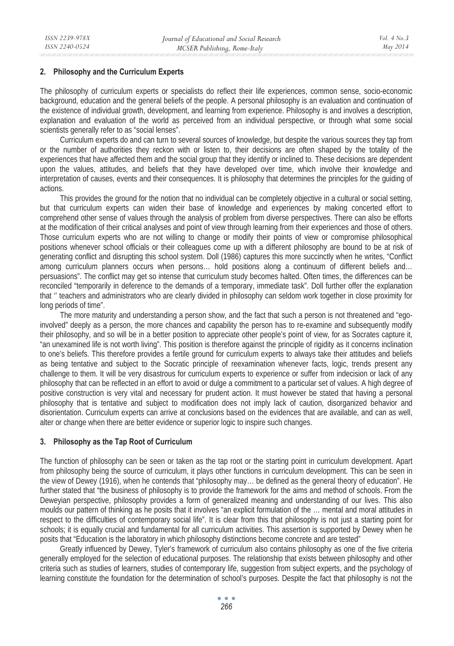## **2. Philosophy and the Curriculum Experts**

The philosophy of curriculum experts or specialists do reflect their life experiences, common sense, socio-economic background, education and the general beliefs of the people. A personal philosophy is an evaluation and continuation of the existence of individual growth, development, and learning from experience. Philosophy is and involves a description, explanation and evaluation of the world as perceived from an individual perspective, or through what some social scientists generally refer to as "social lenses".

Curriculum experts do and can turn to several sources of knowledge, but despite the various sources they tap from or the number of authorities they reckon with or listen to, their decisions are often shaped by the totality of the experiences that have affected them and the social group that they identify or inclined to. These decisions are dependent upon the values, attitudes, and beliefs that they have developed over time, which involve their knowledge and interpretation of causes, events and their consequences. It is philosophy that determines the principles for the guiding of actions.

This provides the ground for the notion that no individual can be completely objective in a cultural or social setting, but that curriculum experts can widen their base of knowledge and experiences by making concerted effort to comprehend other sense of values through the analysis of problem from diverse perspectives. There can also be efforts at the modification of their critical analyses and point of view through learning from their experiences and those of others. Those curriculum experts who are not willing to change or modify their points of view or compromise philosophical positions whenever school officials or their colleagues come up with a different philosophy are bound to be at risk of generating conflict and disrupting this school system. Doll (1986) captures this more succinctly when he writes, "Conflict among curriculum planners occurs when persons… hold positions along a continuum of different beliefs and… persuasions". The conflict may get so intense that curriculum study becomes halted. Often times, the differences can be reconciled "temporarily in deference to the demands of a temporary, immediate task". Doll further offer the explanation that '' teachers and administrators who are clearly divided in philosophy can seldom work together in close proximity for long periods of time".

The more maturity and understanding a person show, and the fact that such a person is not threatened and "egoinvolved" deeply as a person, the more chances and capability the person has to re-examine and subsequently modify their philosophy, and so will be in a better position to appreciate other people's point of view, for as Socrates capture it, "an unexamined life is not worth living". This position is therefore against the principle of rigidity as it concerns inclination to one's beliefs. This therefore provides a fertile ground for curriculum experts to always take their attitudes and beliefs as being tentative and subject to the Socratic principle of reexamination whenever facts, logic, trends present any challenge to them. It will be very disastrous for curriculum experts to experience or suffer from indecision or lack of any philosophy that can be reflected in an effort to avoid or dulge a commitment to a particular set of values. A high degree of positive construction is very vital and necessary for prudent action. It must however be stated that having a personal philosophy that is tentative and subject to modification does not imply lack of caution, disorganized behavior and disorientation. Curriculum experts can arrive at conclusions based on the evidences that are available, and can as well, alter or change when there are better evidence or superior logic to inspire such changes.

# **3. Philosophy as the Tap Root of Curriculum**

The function of philosophy can be seen or taken as the tap root or the starting point in curriculum development. Apart from philosophy being the source of curriculum, it plays other functions in curriculum development. This can be seen in the view of Dewey (1916), when he contends that "philosophy may… be defined as the general theory of education". He further stated that "the business of philosophy is to provide the framework for the aims and method of schools. From the Deweyian perspective, philosophy provides a form of generalized meaning and understanding of our lives. This also moulds our pattern of thinking as he posits that it involves "an explicit formulation of the … mental and moral attitudes in respect to the difficulties of contemporary social life". It is clear from this that philosophy is not just a starting point for schools; it is equally crucial and fundamental for all curriculum activities. This assertion is supported by Dewey when he posits that "Education is the laboratory in which philosophy distinctions become concrete and are tested"

Greatly influenced by Dewey, Tyler's framework of curriculum also contains philosophy as one of the five criteria generally employed for the selection of educational purposes. The relationship that exists between philosophy and other criteria such as studies of learners, studies of contemporary life, suggestion from subject experts, and the psychology of learning constitute the foundation for the determination of school's purposes. Despite the fact that philosophy is not the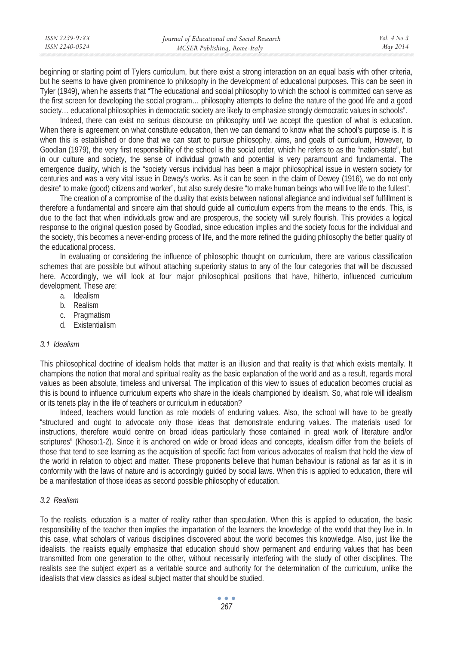| ISSN 2239-978X | Journal of Educational and Social Research | Vol. $4$ No. $3$ |
|----------------|--------------------------------------------|------------------|
| ISSN 2240-0524 | MCSER Publishing, Rome-Italy               | May 2014         |
|                |                                            |                  |

beginning or starting point of Tylers curriculum, but there exist a strong interaction on an equal basis with other criteria, but he seems to have given prominence to philosophy in the development of educational purposes. This can be seen in Tyler (1949), when he asserts that "The educational and social philosophy to which the school is committed can serve as the first screen for developing the social program… philosophy attempts to define the nature of the good life and a good society... educational philosophies in democratic society are likely to emphasize strongly democratic values in schools".

Indeed, there can exist no serious discourse on philosophy until we accept the question of what is education. When there is agreement on what constitute education, then we can demand to know what the school's purpose is. It is when this is established or done that we can start to pursue philosophy, aims, and goals of curriculum, However, to Goodlan (1979), the very first responsibility of the school is the social order, which he refers to as the "nation-state", but in our culture and society, the sense of individual growth and potential is very paramount and fundamental. The emergence duality, which is the "society versus individual has been a major philosophical issue in western society for centuries and was a very vital issue in Dewey's works. As it can be seen in the claim of Dewey (1916), we do not only desire" to make (good) citizens and worker", but also surely desire "to make human beings who will live life to the fullest".

The creation of a compromise of the duality that exists between national allegiance and individual self fulfillment is therefore a fundamental and sincere aim that should guide all curriculum experts from the means to the ends. This, is due to the fact that when individuals grow and are prosperous, the society will surely flourish. This provides a logical response to the original question posed by Goodlad, since education implies and the society focus for the individual and the society, this becomes a never-ending process of life, and the more refined the guiding philosophy the better quality of the educational process.

In evaluating or considering the influence of philosophic thought on curriculum, there are various classification schemes that are possible but without attaching superiority status to any of the four categories that will be discussed here. Accordingly, we will look at four major philosophical positions that have, hitherto, influenced curriculum development. These are:

- a. Idealism
- b. Realism
- c. Pragmatism
- d. Existentialism

# *3.1 Idealism*

This philosophical doctrine of idealism holds that matter is an illusion and that reality is that which exists mentally. It champions the notion that moral and spiritual reality as the basic explanation of the world and as a result, regards moral values as been absolute, timeless and universal. The implication of this view to issues of education becomes crucial as this is bound to influence curriculum experts who share in the ideals championed by idealism. So, what role will idealism or its tenets play in the life of teachers or curriculum in education?

Indeed, teachers would function as role models of enduring values. Also, the school will have to be greatly "structured and ought to advocate only those ideas that demonstrate enduring values. The materials used for instructions, therefore would centre on broad ideas particularly those contained in great work of literature and/or scriptures" (Khoso:1-2). Since it is anchored on wide or broad ideas and concepts, idealism differ from the beliefs of those that tend to see learning as the acquisition of specific fact from various advocates of realism that hold the view of the world in relation to object and matter. These proponents believe that human behaviour is rational as far as it is in conformity with the laws of nature and is accordingly guided by social laws. When this is applied to education, there will be a manifestation of those ideas as second possible philosophy of education.

## *3.2 Realism*

To the realists, education is a matter of reality rather than speculation. When this is applied to education, the basic responsibility of the teacher then implies the impartation of the learners the knowledge of the world that they live in. In this case, what scholars of various disciplines discovered about the world becomes this knowledge. Also, just like the idealists, the realists equally emphasize that education should show permanent and enduring values that has been transmitted from one generation to the other, without necessarily interfering with the study of other disciplines. The realists see the subject expert as a veritable source and authority for the determination of the curriculum, unlike the idealists that view classics as ideal subject matter that should be studied.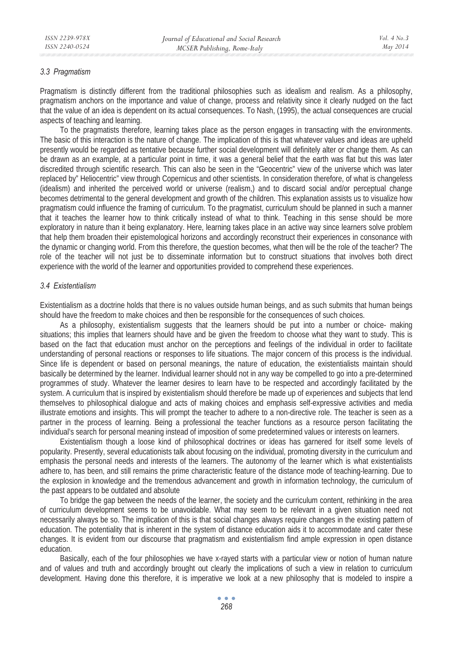## *3.3 Pragmatism*

Pragmatism is distinctly different from the traditional philosophies such as idealism and realism. As a philosophy, pragmatism anchors on the importance and value of change, process and relativity since it clearly nudged on the fact that the value of an idea is dependent on its actual consequences. To Nash, (1995), the actual consequences are crucial aspects of teaching and learning.

To the pragmatists therefore, learning takes place as the person engages in transacting with the environments. The basic of this interaction is the nature of change. The implication of this is that whatever values and ideas are upheld presently would be regarded as tentative because further social development will definitely alter or change them. As can be drawn as an example, at a particular point in time, it was a general belief that the earth was flat but this was later discredited through scientific research. This can also be seen in the "Geocentric" view of the universe which was later replaced by" Heliocentric" view through Copernicus and other scientists. In consideration therefore, of what is changeless (idealism) and inherited the perceived world or universe (realism,) and to discard social and/or perceptual change becomes detrimental to the general development and growth of the children. This explanation assists us to visualize how pragmatism could influence the framing of curriculum. To the pragmatist, curriculum should be planned in such a manner that it teaches the learner how to think critically instead of what to think. Teaching in this sense should be more exploratory in nature than it being explanatory. Here, learning takes place in an active way since learners solve problem that help them broaden their epistemological horizons and accordingly reconstruct their experiences in consonance with the dynamic or changing world. From this therefore, the question becomes, what then will be the role of the teacher? The role of the teacher will not just be to disseminate information but to construct situations that involves both direct experience with the world of the learner and opportunities provided to comprehend these experiences.

### *3.4 Existentialism*

Existentialism as a doctrine holds that there is no values outside human beings, and as such submits that human beings should have the freedom to make choices and then be responsible for the consequences of such choices.

As a philosophy, existentialism suggests that the learners should be put into a number or choice- making situations; this implies that learners should have and be given the freedom to choose what they want to study. This is based on the fact that education must anchor on the perceptions and feelings of the individual in order to facilitate understanding of personal reactions or responses to life situations. The major concern of this process is the individual. Since life is dependent or based on personal meanings, the nature of education, the existentialists maintain should basically be determined by the learner. Individual learner should not in any way be compelled to go into a pre-determined programmes of study. Whatever the learner desires to learn have to be respected and accordingly facilitated by the system. A curriculum that is inspired by existentialism should therefore be made up of experiences and subjects that lend themselves to philosophical dialogue and acts of making choices and emphasis self-expressive activities and media illustrate emotions and insights. This will prompt the teacher to adhere to a non-directive role. The teacher is seen as a partner in the process of learning. Being a professional the teacher functions as a resource person facilitating the individual's search for personal meaning instead of imposition of some predetermined values or interests on learners.

Existentialism though a loose kind of philosophical doctrines or ideas has garnered for itself some levels of popularity. Presently, several educationists talk about focusing on the individual, promoting diversity in the curriculum and emphasis the personal needs and interests of the learners. The autonomy of the learner which is what existentialists adhere to, has been, and still remains the prime characteristic feature of the distance mode of teaching-learning. Due to the explosion in knowledge and the tremendous advancement and growth in information technology, the curriculum of the past appears to be outdated and absolute

To bridge the gap between the needs of the learner, the society and the curriculum content, rethinking in the area of curriculum development seems to be unavoidable. What may seem to be relevant in a given situation need not necessarily always be so. The implication of this is that social changes always require changes in the existing pattern of education. The potentiality that is inherent in the system of distance education aids it to accommodate and cater these changes. It is evident from our discourse that pragmatism and existentialism find ample expression in open distance education.

Basically, each of the four philosophies we have x-rayed starts with a particular view or notion of human nature and of values and truth and accordingly brought out clearly the implications of such a view in relation to curriculum development. Having done this therefore, it is imperative we look at a new philosophy that is modeled to inspire a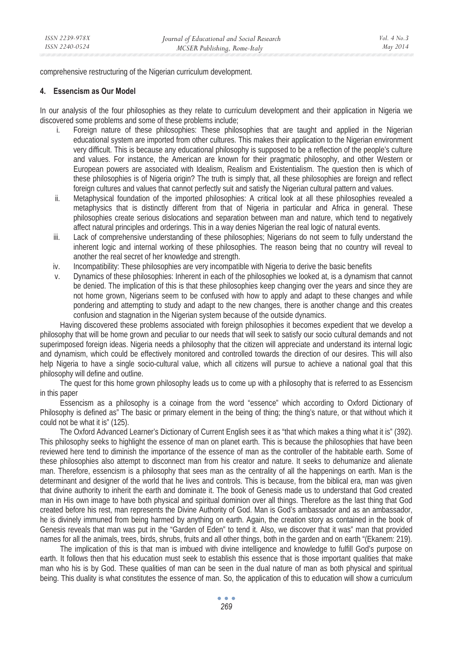comprehensive restructuring of the Nigerian curriculum development.

### **4. Essencism as Our Model**

In our analysis of the four philosophies as they relate to curriculum development and their application in Nigeria we discovered some problems and some of these problems include;

- i. Foreign nature of these philosophies: These philosophies that are taught and applied in the Nigerian educational system are imported from other cultures. This makes their application to the Nigerian environment very difficult. This is because any educational philosophy is supposed to be a reflection of the people's culture and values. For instance, the American are known for their pragmatic philosophy, and other Western or European powers are associated with Idealism, Realism and Existentialism. The question then is which of these philosophies is of Nigeria origin? The truth is simply that, all these philosophies are foreign and reflect foreign cultures and values that cannot perfectly suit and satisfy the Nigerian cultural pattern and values.
- ii. Metaphysical foundation of the imported philosophies: A critical look at all these philosophies revealed a metaphysics that is distinctly different from that of Nigeria in particular and Africa in general. These philosophies create serious dislocations and separation between man and nature, which tend to negatively affect natural principles and orderings. This in a way denies Nigerian the real logic of natural events.
- iii. Lack of comprehensive understanding of these philosophies; Nigerians do not seem to fully understand the inherent logic and internal working of these philosophies. The reason being that no country will reveal to another the real secret of her knowledge and strength.
- iv. Incompatibility: These philosophies are very incompatible with Nigeria to derive the basic benefits
- v. Dynamics of these philosophies: Inherent in each of the philosophies we looked at, is a dynamism that cannot be denied. The implication of this is that these philosophies keep changing over the years and since they are not home grown, Nigerians seem to be confused with how to apply and adapt to these changes and while pondering and attempting to study and adapt to the new changes, there is another change and this creates confusion and stagnation in the Nigerian system because of the outside dynamics.

Having discovered these problems associated with foreign philosophies it becomes expedient that we develop a philosophy that will be home grown and peculiar to our needs that will seek to satisfy our socio cultural demands and not superimposed foreign ideas. Nigeria needs a philosophy that the citizen will appreciate and understand its internal logic and dynamism, which could be effectively monitored and controlled towards the direction of our desires. This will also help Nigeria to have a single socio-cultural value, which all citizens will pursue to achieve a national goal that this philosophy will define and outline.

The quest for this home grown philosophy leads us to come up with a philosophy that is referred to as Essencism in this paper

Essencism as a philosophy is a coinage from the word "essence" which according to Oxford Dictionary of Philosophy is defined as" The basic or primary element in the being of thing; the thing's nature, or that without which it could not be what it is" (125).

The Oxford Advanced Learner's Dictionary of Current English sees it as "that which makes a thing what it is" (392). This philosophy seeks to highlight the essence of man on planet earth. This is because the philosophies that have been reviewed here tend to diminish the importance of the essence of man as the controller of the habitable earth. Some of these philosophies also attempt to disconnect man from his creator and nature. It seeks to dehumanize and alienate man. Therefore, essencism is a philosophy that sees man as the centrality of all the happenings on earth. Man is the determinant and designer of the world that he lives and controls. This is because, from the biblical era, man was given that divine authority to inherit the earth and dominate it. The book of Genesis made us to understand that God created man in His own image to have both physical and spiritual dominion over all things. Therefore as the last thing that God created before his rest, man represents the Divine Authority of God. Man is God's ambassador and as an ambassador, he is divinely immuned from being harmed by anything on earth. Again, the creation story as contained in the book of Genesis reveals that man was put in the "Garden of Eden" to tend it. Also, we discover that it was" man that provided names for all the animals, trees, birds, shrubs, fruits and all other things, both in the garden and on earth "(Ekanem: 219).

The implication of this is that man is imbued with divine intelligence and knowledge to fulfill God's purpose on earth. It follows then that his education must seek to establish this essence that is those important qualities that make man who his is by God. These qualities of man can be seen in the dual nature of man as both physical and spiritual being. This duality is what constitutes the essence of man. So, the application of this to education will show a curriculum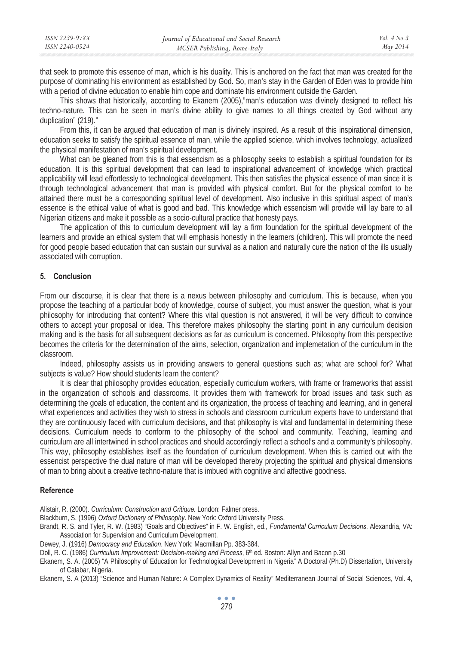| ISSN 2239-978X | Journal of Educational and Social Research | Vol. $4$ No. $3$ |
|----------------|--------------------------------------------|------------------|
| ISSN 2240-0524 | MCSER Publishing, Rome-Italy               | May 2014         |
|                |                                            |                  |

that seek to promote this essence of man, which is his duality. This is anchored on the fact that man was created for the purpose of dominating his environment as established by God. So, man's stay in the Garden of Eden was to provide him with a period of divine education to enable him cope and dominate his environment outside the Garden.

This shows that historically, according to Ekanem (2005),"man's education was divinely designed to reflect his techno-nature. This can be seen in man's divine ability to give names to all things created by God without any duplication" (219)."

From this, it can be argued that education of man is divinely inspired. As a result of this inspirational dimension, education seeks to satisfy the spiritual essence of man, while the applied science, which involves technology, actualized the physical manifestation of man's spiritual development.

What can be gleaned from this is that essencism as a philosophy seeks to establish a spiritual foundation for its education. It is this spiritual development that can lead to inspirational advancement of knowledge which practical applicability will lead effortlessly to technological development. This then satisfies the physical essence of man since it is through technological advancement that man is provided with physical comfort. But for the physical comfort to be attained there must be a corresponding spiritual level of development. Also inclusive in this spiritual aspect of man's essence is the ethical value of what is good and bad. This knowledge which essencism will provide will lay bare to all Nigerian citizens and make it possible as a socio-cultural practice that honesty pays.

The application of this to curriculum development will lay a firm foundation for the spiritual development of the learners and provide an ethical system that will emphasis honestly in the learners (children). This will promote the need for good people based education that can sustain our survival as a nation and naturally cure the nation of the ills usually associated with corruption.

# **5. Conclusion**

From our discourse, it is clear that there is a nexus between philosophy and curriculum. This is because, when you propose the teaching of a particular body of knowledge, course of subject, you must answer the question, what is your philosophy for introducing that content? Where this vital question is not answered, it will be very difficult to convince others to accept your proposal or idea. This therefore makes philosophy the starting point in any curriculum decision making and is the basis for all subsequent decisions as far as curriculum is concerned. Philosophy from this perspective becomes the criteria for the determination of the aims, selection, organization and implemetation of the curriculum in the classroom.

Indeed, philosophy assists us in providing answers to general questions such as; what are school for? What subjects is value? How should students learn the content?

It is clear that philosophy provides education, especially curriculum workers, with frame or frameworks that assist in the organization of schools and classrooms. It provides them with framework for broad issues and task such as determining the goals of education, the content and its organization, the process of teaching and learning, and in general what experiences and activities they wish to stress in schools and classroom curriculum experts have to understand that they are continuously faced with curriculum decisions, and that philosophy is vital and fundamental in determining these decisions. Curriculum needs to conform to the philosophy of the school and community. Teaching, learning and curriculum are all intertwined in school practices and should accordingly reflect a school's and a community's philosophy. This way, philosophy establishes itself as the foundation of curriculum development. When this is carried out with the essencist perspective the dual nature of man will be developed thereby projecting the spiritual and physical dimensions of man to bring about a creative techno-nature that is imbued with cognitive and affective goodness.

# **Reference**

Alistair, R. (2000). *Curriculum: Construction and Critique.* London: Falmer press.

Blackburn, S. (1996) *Oxford Dictionary of Philosophy*. New York: Oxford University Press.

Brandt, R. S. and Tyler, R. W. (1983) "Goals and Objectives" in F. W. English, ed., *Fundamental Curriculum Decisions*. Alexandria, VA: Association for Supervision and Curriculum Development.

Dewey, J. (1916) *Democracy and Education*. New York: Macmillan Pp. 383-384.

Doll, R. C. (1986) *Curriculum Improvement: Decision-making and Process*, 6<sup>th</sup> ed. Boston: Allyn and Bacon p.30

Ekanem, S. A. (2005) "A Philosophy of Education for Technological Development in Nigeria" A Doctoral (Ph.D) Dissertation, University of Calabar, Nigeria.

Ekanem, S. A (2013) "Science and Human Nature: A Complex Dynamics of Reality" Mediterranean Journal of Social Sciences, Vol. 4,